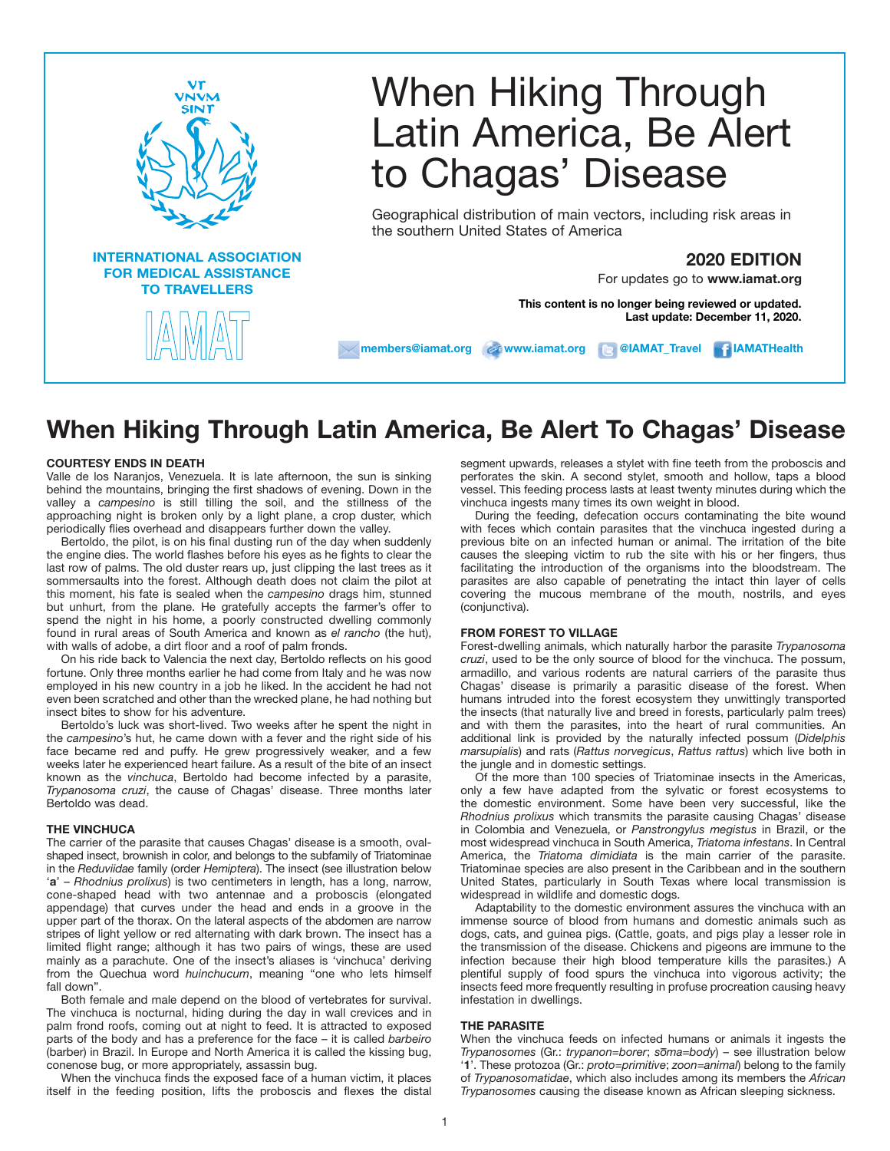

# When Hiking Through Latin America, Be Alert to Chagas' Disease

Geographical distribution of main vectors, including risk areas in the southern United States of America

# **2020 EDITION**

For updates go to **www.iamat.org**

**This content is no longer being reviewed or updated. Last update: December 11, 2020.**

**members@iamat.org www.iamat.org @IAMAT\_Travel IAMATHealth**

**When Hiking Through Latin America, Be Alert To Chagas' Disease**

# **COURTESY ENDS IN DEATH**

Valle de los Naranjos, Venezuela. It is late afternoon, the sun is sinking behind the mountains, bringing the first shadows of evening. Down in the valley a *campesino* is still tilling the soil, and the stillness of the approaching night is broken only by a light plane, a crop duster, which periodically flies overhead and disappears further down the valley.

Bertoldo, the pilot, is on his final dusting run of the day when suddenly the engine dies. The world flashes before his eyes as he fights to clear the last row of palms. The old duster rears up, just clipping the last trees as it sommersaults into the forest. Although death does not claim the pilot at this moment, his fate is sealed when the *campesino* drags him, stunned but unhurt, from the plane. He gratefully accepts the farmer's offer to spend the night in his home, a poorly constructed dwelling commonly found in rural areas of South America and known as *el rancho* (the hut), with walls of adobe, a dirt floor and a roof of palm fronds.

On his ride back to Valencia the next day, Bertoldo reflects on his good fortune. Only three months earlier he had come from Italy and he was now employed in his new country in a job he liked. In the accident he had not even been scratched and other than the wrecked plane, he had nothing but insect bites to show for his adventure.

Bertoldo's luck was short-lived. Two weeks after he spent the night in the *campesino*'s hut, he came down with a fever and the right side of his face became red and puffy. He grew progressively weaker, and a few weeks later he experienced heart failure. As a result of the bite of an insect known as the *vinchuca*, Bertoldo had become infected by a parasite, *Trypanosoma cruzi*, the cause of Chagas' disease. Three months later Bertoldo was dead.

# **THE VINCHUCA**

The carrier of the parasite that causes Chagas' disease is a smooth, ovalshaped insect, brownish in color, and belongs to the subfamily of Triatominae in the *Reduviidae* family (order *Hemiptera*). The insect (see illustration below '**a**' – *Rhodnius prolixus*) is two centimeters in length, has a long, narrow, cone-shaped head with two antennae and a proboscis (elongated appendage) that curves under the head and ends in a groove in the upper part of the thorax. On the lateral aspects of the abdomen are narrow stripes of light yellow or red alternating with dark brown. The insect has a limited flight range; although it has two pairs of wings, these are used mainly as a parachute. One of the insect's aliases is 'vinchuca' deriving from the Quechua word *huinchucum*, meaning "one who lets himself fall down".

Both female and male depend on the blood of vertebrates for survival. The vinchuca is nocturnal, hiding during the day in wall crevices and in palm frond roofs, coming out at night to feed. It is attracted to exposed parts of the body and has a preference for the face – it is called *barbeiro* (barber) in Brazil. In Europe and North America it is called the kissing bug, conenose bug, or more appropriately, assassin bug.

When the vinchuca finds the exposed face of a human victim, it places itself in the feeding position, lifts the proboscis and flexes the distal segment upwards, releases a stylet with fine teeth from the proboscis and perforates the skin. A second stylet, smooth and hollow, taps a blood vessel. This feeding process lasts at least twenty minutes during which the vinchuca ingests many times its own weight in blood.

During the feeding, defecation occurs contaminating the bite wound with feces which contain parasites that the vinchuca ingested during a previous bite on an infected human or animal. The irritation of the bite causes the sleeping victim to rub the site with his or her fingers, thus facilitating the introduction of the organisms into the bloodstream. The parasites are also capable of penetrating the intact thin layer of cells covering the mucous membrane of the mouth, nostrils, and eyes (conjunctiva).

# **FROM FOREST TO VILLAGE**

Forest-dwelling animals, which naturally harbor the parasite *Trypanosoma cruzi*, used to be the only source of blood for the vinchuca. The possum, armadillo, and various rodents are natural carriers of the parasite thus Chagas' disease is primarily a parasitic disease of the forest. When humans intruded into the forest ecosystem they unwittingly transported the insects (that naturally live and breed in forests, particularly palm trees) and with them the parasites, into the heart of rural communities. An additional link is provided by the naturally infected possum (*Didelphis marsupialis*) and rats (*Rattus norvegicus*, *Rattus rattus*) which live both in the jungle and in domestic settings.

Of the more than 100 species of Triatominae insects in the Americas, only a few have adapted from the sylvatic or forest ecosystems to the domestic environment. Some have been very successful, like the *Rhodnius prolixus* which transmits the parasite causing Chagas' disease in Colombia and Venezuela, or *Panstrongylus megistus* in Brazil, or the most widespread vinchuca in South America, *Triatoma infestans*. In Central America, the *Triatoma dimidiata* is the main carrier of the parasite. Triatominae species are also present in the Caribbean and in the southern United States, particularly in South Texas where local transmission is widespread in wildlife and domestic dogs.

Adaptability to the domestic environment assures the vinchuca with an immense source of blood from humans and domestic animals such as dogs, cats, and guinea pigs. (Cattle, goats, and pigs play a lesser role in the transmission of the disease. Chickens and pigeons are immune to the infection because their high blood temperature kills the parasites.) A plentiful supply of food spurs the vinchuca into vigorous activity; the insects feed more frequently resulting in profuse procreation causing heavy infestation in dwellings.

# **THE PARASITE**

When the vinchuca feeds on infected humans or animals it ingests the *Trypanosomes* (Gr.: *trypanon=borer*; *soma=body*) – see illustration below '**1**'. These protozoa (Gr.: *proto=primitive*; *zoon=animal*) belong to the family of *Trypanosomatidae*, which also includes among its members the *African Trypanosomes* causing the disease known as African sleeping sickness.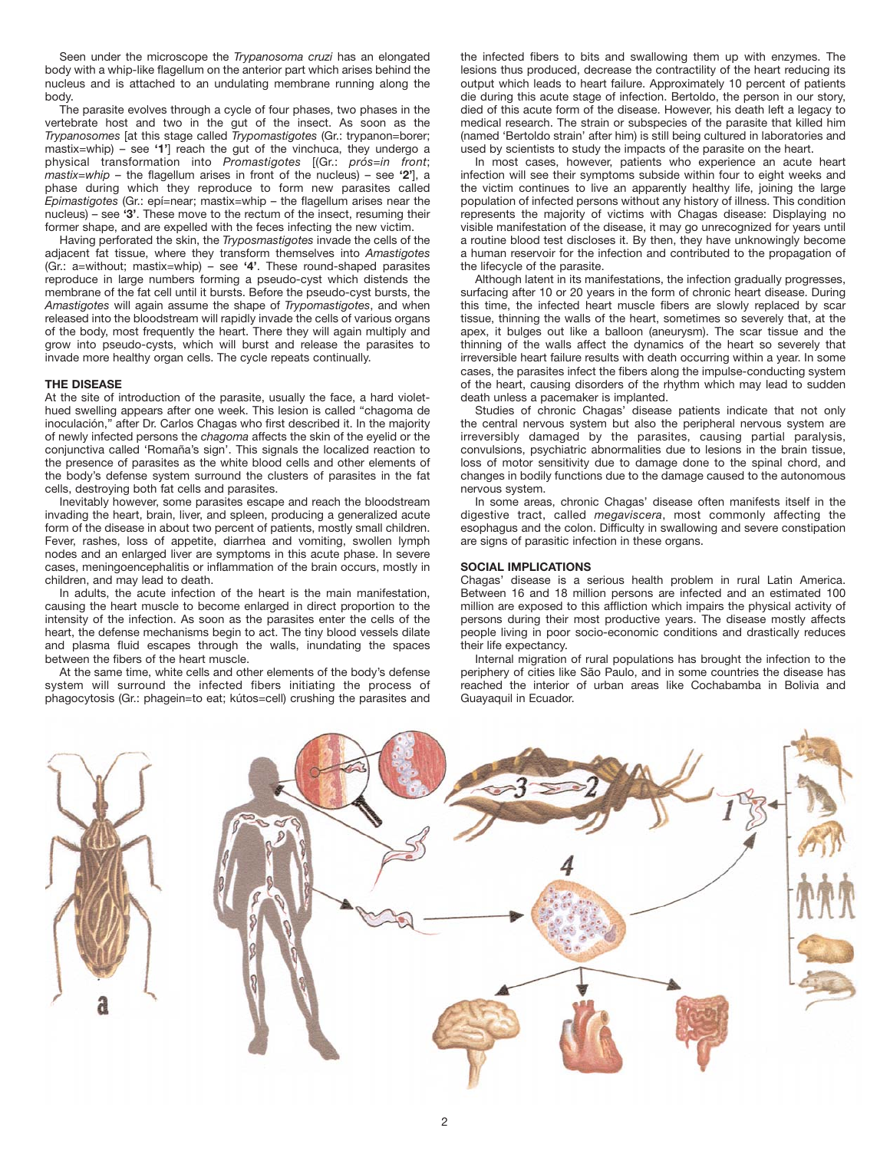Seen under the microscope the *Trypanosoma cruzi* has an elongated body with a whip-like flagellum on the anterior part which arises behind the nucleus and is attached to an undulating membrane running along the body.

The parasite evolves through a cycle of four phases, two phases in the vertebrate host and two in the gut of the insect. As soon as the *Trypanosomes* [at this stage called *Trypomastigotes* (Gr.: trypanon=borer; mastix=whip) – see **'1'**] reach the gut of the vinchuca, they undergo a physical transformation into *Promastigotes* [(Gr.: *prós=in front*; *mastix=whip –* the flagellum arises in front of the nucleus) – see **'2'**], a phase during which they reproduce to form new parasites called *Epimastigotes* (Gr.: epí=near; mastix=whip – the flagellum arises near the nucleus) – see **'3'**. These move to the rectum of the insect, resuming their former shape, and are expelled with the feces infecting the new victim.

Having perforated the skin, the *Tryposmastigotes* invade the cells of the adjacent fat tissue, where they transform themselves into *Amastigotes* (Gr.: a=without; mastix=whip) – see **'4'**. These round-shaped parasites reproduce in large numbers forming a pseudo-cyst which distends the membrane of the fat cell until it bursts. Before the pseudo-cyst bursts, the *Amastigotes* will again assume the shape of *Trypomastigotes*, and when released into the bloodstream will rapidly invade the cells of various organs of the body, most frequently the heart. There they will again multiply and grow into pseudo-cysts, which will burst and release the parasites to invade more healthy organ cells. The cycle repeats continually.

# **THE DISEASE**

At the site of introduction of the parasite, usually the face, a hard violethued swelling appears after one week. This lesion is called "chagoma de inoculación," after Dr. Carlos Chagas who first described it. In the majority of newly infected persons the *chagoma* affects the skin of the eyelid or the conjunctiva called 'Romaña's sign'. This signals the localized reaction to the presence of parasites as the white blood cells and other elements of the body's defense system surround the clusters of parasites in the fat cells, destroying both fat cells and parasites.

Inevitably however, some parasites escape and reach the bloodstream invading the heart, brain, liver, and spleen, producing a generalized acute form of the disease in about two percent of patients, mostly small children. Fever, rashes, loss of appetite, diarrhea and vomiting, swollen lymph nodes and an enlarged liver are symptoms in this acute phase. In severe cases, meningoencephalitis or inflammation of the brain occurs, mostly in children, and may lead to death.

In adults, the acute infection of the heart is the main manifestation, causing the heart muscle to become enlarged in direct proportion to the intensity of the infection. As soon as the parasites enter the cells of the heart, the defense mechanisms begin to act. The tiny blood vessels dilate and plasma fluid escapes through the walls, inundating the spaces between the fibers of the heart muscle.

At the same time, white cells and other elements of the body's defense system will surround the infected fibers initiating the process of phagocytosis (Gr.: phagein=to eat; kútos=cell) crushing the parasites and

the infected fibers to bits and swallowing them up with enzymes. The lesions thus produced, decrease the contractility of the heart reducing its output which leads to heart failure. Approximately 10 percent of patients die during this acute stage of infection. Bertoldo, the person in our story, died of this acute form of the disease. However, his death left a legacy to medical research. The strain or subspecies of the parasite that killed him (named 'Bertoldo strain' after him) is still being cultured in laboratories and used by scientists to study the impacts of the parasite on the heart.

In most cases, however, patients who experience an acute heart infection will see their symptoms subside within four to eight weeks and the victim continues to live an apparently healthy life, joining the large population of infected persons without any history of illness. This condition represents the majority of victims with Chagas disease: Displaying no visible manifestation of the disease, it may go unrecognized for years until a routine blood test discloses it. By then, they have unknowingly become a human reservoir for the infection and contributed to the propagation of the lifecycle of the parasite.

Although latent in its manifestations, the infection gradually progresses, surfacing after 10 or 20 years in the form of chronic heart disease. During this time, the infected heart muscle fibers are slowly replaced by scar tissue, thinning the walls of the heart, sometimes so severely that, at the apex, it bulges out like a balloon (aneurysm). The scar tissue and the thinning of the walls affect the dynamics of the heart so severely that irreversible heart failure results with death occurring within a year. In some cases, the parasites infect the fibers along the impulse-conducting system of the heart, causing disorders of the rhythm which may lead to sudden death unless a pacemaker is implanted.

Studies of chronic Chagas' disease patients indicate that not only the central nervous system but also the peripheral nervous system are irreversibly damaged by the parasites, causing partial paralysis, convulsions, psychiatric abnormalities due to lesions in the brain tissue, loss of motor sensitivity due to damage done to the spinal chord, and changes in bodily functions due to the damage caused to the autonomous nervous system.

In some areas, chronic Chagas' disease often manifests itself in the digestive tract, called *megaviscera*, most commonly affecting the esophagus and the colon. Difficulty in swallowing and severe constipation are signs of parasitic infection in these organs.

#### **SOCIAL IMPLICATIONS**

Chagas' disease is a serious health problem in rural Latin America. Between 16 and 18 million persons are infected and an estimated 100 million are exposed to this affliction which impairs the physical activity of persons during their most productive years. The disease mostly affects people living in poor socio-economic conditions and drastically reduces their life expectancy.

Internal migration of rural populations has brought the infection to the periphery of cities like São Paulo, and in some countries the disease has reached the interior of urban areas like Cochabamba in Bolivia and Guayaquil in Ecuador.

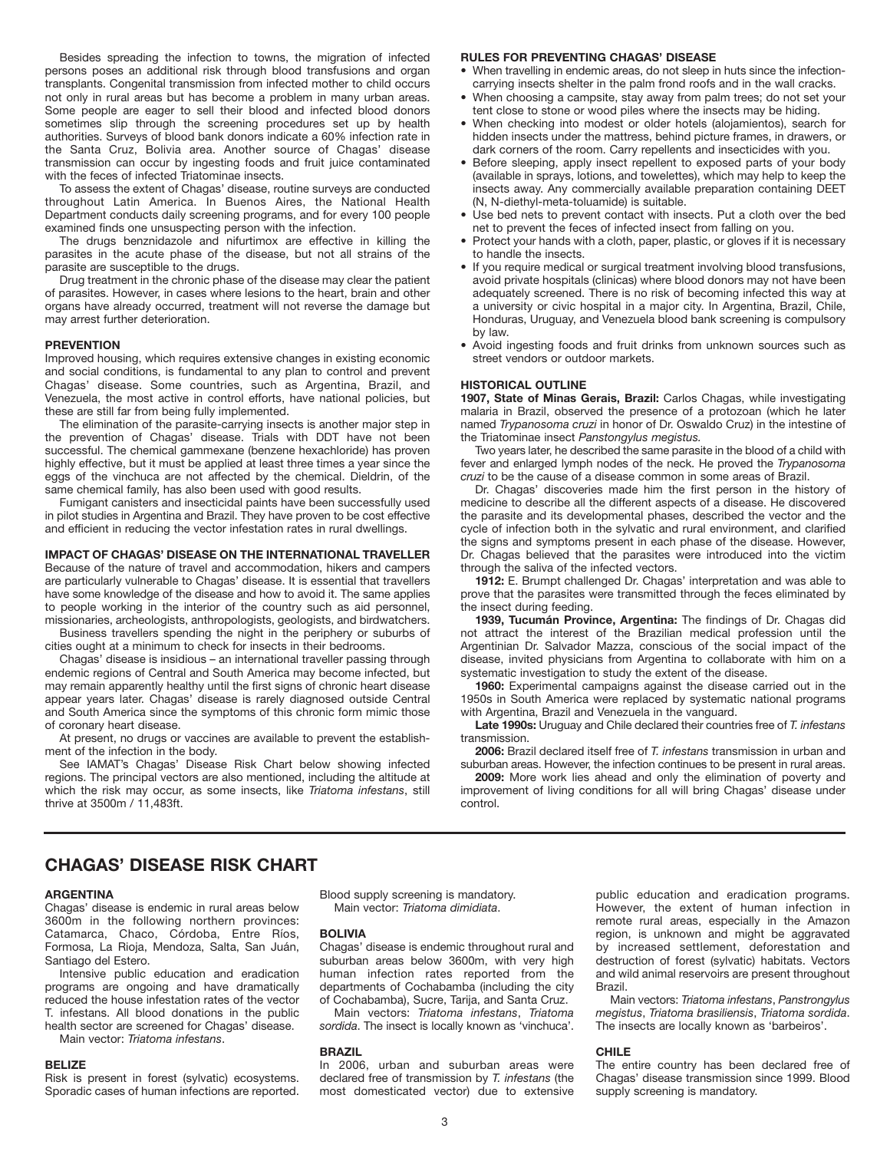Besides spreading the infection to towns, the migration of infected persons poses an additional risk through blood transfusions and organ transplants. Congenital transmission from infected mother to child occurs not only in rural areas but has become a problem in many urban areas. Some people are eager to sell their blood and infected blood donors sometimes slip through the screening procedures set up by health authorities. Surveys of blood bank donors indicate a 60% infection rate in the Santa Cruz, Bolivia area. Another source of Chagas' disease transmission can occur by ingesting foods and fruit juice contaminated with the feces of infected Triatominae insects.

To assess the extent of Chagas' disease, routine surveys are conducted throughout Latin America. In Buenos Aires, the National Health Department conducts daily screening programs, and for every 100 people examined finds one unsuspecting person with the infection.

The drugs benznidazole and nifurtimox are effective in killing the parasites in the acute phase of the disease, but not all strains of the parasite are susceptible to the drugs.

Drug treatment in the chronic phase of the disease may clear the patient of parasites. However, in cases where lesions to the heart, brain and other organs have already occurred, treatment will not reverse the damage but may arrest further deterioration.

#### **PREVENTION**

Improved housing, which requires extensive changes in existing economic and social conditions, is fundamental to any plan to control and prevent Chagas' disease. Some countries, such as Argentina, Brazil, and Venezuela, the most active in control efforts, have national policies, but these are still far from being fully implemented.

The elimination of the parasite-carrying insects is another major step in the prevention of Chagas' disease. Trials with DDT have not been successful. The chemical gammexane (benzene hexachloride) has proven highly effective, but it must be applied at least three times a year since the eggs of the vinchuca are not affected by the chemical. Dieldrin, of the same chemical family, has also been used with good results.

Fumigant canisters and insecticidal paints have been successfully used in pilot studies in Argentina and Brazil. They have proven to be cost effective and efficient in reducing the vector infestation rates in rural dwellings.

#### **IMPACT OF CHAGAS' DISEASE ON THE INTERNATIONAL TRAVELLER**

Because of the nature of travel and accommodation, hikers and campers are particularly vulnerable to Chagas' disease. It is essential that travellers have some knowledge of the disease and how to avoid it. The same applies to people working in the interior of the country such as aid personnel, missionaries, archeologists, anthropologists, geologists, and birdwatchers.

Business travellers spending the night in the periphery or suburbs of cities ought at a minimum to check for insects in their bedrooms.

Chagas' disease is insidious – an international traveller passing through endemic regions of Central and South America may become infected, but may remain apparently healthy until the first signs of chronic heart disease appear years later. Chagas' disease is rarely diagnosed outside Central and South America since the symptoms of this chronic form mimic those of coronary heart disease.

At present, no drugs or vaccines are available to prevent the establishment of the infection in the body.

See IAMAT's Chagas' Disease Risk Chart below showing infected regions. The principal vectors are also mentioned, including the altitude at which the risk may occur, as some insects, like *Triatoma infestans*, still thrive at 3500m / 11,483ft.

# **RULES FOR PREVENTING CHAGAS' DISEASE**

- When travelling in endemic areas, do not sleep in huts since the infectioncarrying insects shelter in the palm frond roofs and in the wall cracks.
- When choosing a campsite, stay away from palm trees; do not set your tent close to stone or wood piles where the insects may be hiding.
- When checking into modest or older hotels (alojamientos), search for hidden insects under the mattress, behind picture frames, in drawers, or dark corners of the room. Carry repellents and insecticides with you.
- Before sleeping, apply insect repellent to exposed parts of your body (available in sprays, lotions, and towelettes), which may help to keep the insects away. Any commercially available preparation containing DEET (N, N-diethyl-meta-toluamide) is suitable.
- Use bed nets to prevent contact with insects. Put a cloth over the bed net to prevent the feces of infected insect from falling on you.
- Protect your hands with a cloth, paper, plastic, or gloves if it is necessary to handle the insects.
- If you require medical or surgical treatment involving blood transfusions, avoid private hospitals (clinicas) where blood donors may not have been adequately screened. There is no risk of becoming infected this way at a university or civic hospital in a major city. In Argentina, Brazil, Chile, Honduras, Uruguay, and Venezuela blood bank screening is compulsory by law.
- Avoid ingesting foods and fruit drinks from unknown sources such as street vendors or outdoor markets.

# **HISTORICAL OUTLINE**

**1907, State of Minas Gerais, Brazil:** Carlos Chagas, while investigating malaria in Brazil, observed the presence of a protozoan (which he later named *Trypanosoma cruzi* in honor of Dr. Oswaldo Cruz) in the intestine of the Triatominae insect *Panstongylus megistus.*

Two years later, he described the same parasite in the blood of a child with fever and enlarged lymph nodes of the neck. He proved the *Trypanosoma cruzi* to be the cause of a disease common in some areas of Brazil.

Dr. Chagas' discoveries made him the first person in the history of medicine to describe all the different aspects of a disease. He discovered the parasite and its developmental phases, described the vector and the cycle of infection both in the sylvatic and rural environment, and clarified the signs and symptoms present in each phase of the disease. However, Dr. Chagas believed that the parasites were introduced into the victim through the saliva of the infected vectors.

**1912:** E. Brumpt challenged Dr. Chagas' interpretation and was able to prove that the parasites were transmitted through the feces eliminated by the insect during feeding.

**1939, Tucumán Province, Argentina:** The findings of Dr. Chagas did not attract the interest of the Brazilian medical profession until the Argentinian Dr. Salvador Mazza, conscious of the social impact of the disease, invited physicians from Argentina to collaborate with him on a systematic investigation to study the extent of the disease.

**1960:** Experimental campaigns against the disease carried out in the 1950s in South America were replaced by systematic national programs with Argentina, Brazil and Venezuela in the vanguard.

**Late 1990s:** Uruguay and Chile declared their countries free of *T. infestans* transmission.

**2006:** Brazil declared itself free of *T. infestans* transmission in urban and suburban areas. However, the infection continues to be present in rural areas.

**2009:** More work lies ahead and only the elimination of poverty and improvement of living conditions for all will bring Chagas' disease under control.

# **CHAGAS' DISEASE RISK CHART**

# **ARGENTINA**

Chagas' disease is endemic in rural areas below 3600m in the following northern provinces: Catamarca, Chaco, Córdoba, Entre Ríos, Formosa, La Rioja, Mendoza, Salta, San Juán, Santiago del Estero.

Intensive public education and eradication programs are ongoing and have dramatically reduced the house infestation rates of the vector T. infestans. All blood donations in the public health sector are screened for Chagas' disease.

Main vector: *Triatoma infestans*.

# **BELIZE**

Risk is present in forest (sylvatic) ecosystems. Sporadic cases of human infections are reported. Blood supply screening is mandatory. Main vector: *Triatoma dimidiata*.

#### **BOLIVIA**

Chagas' disease is endemic throughout rural and suburban areas below 3600m, with very high human infection rates reported from the departments of Cochabamba (including the city of Cochabamba), Sucre, Tarija, and Santa Cruz.

Main vectors: *Triatoma infestans*, *Triatoma sordida*. The insect is locally known as 'vinchuca'.

# **BRAZIL**

In 2006, urban and suburban areas were declared free of transmission by *T. infestans* (the most domesticated vector) due to extensive public education and eradication programs. However, the extent of human infection in remote rural areas, especially in the Amazon region, is unknown and might be aggravated by increased settlement, deforestation and destruction of forest (sylvatic) habitats. Vectors and wild animal reservoirs are present throughout Brazil.

Main vectors: *Triatoma infestans*, *Panstrongylus megistus*, *Triatoma brasiliensis*, *Triatoma sordida*. The insects are locally known as 'barbeiros'.

#### **CHILE**

The entire country has been declared free of Chagas' disease transmission since 1999. Blood supply screening is mandatory.